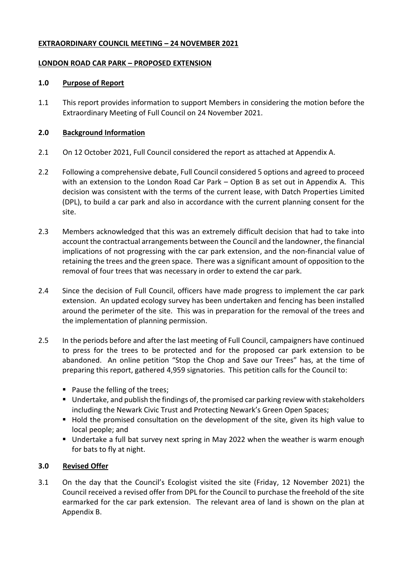## **EXTRAORDINARY COUNCIL MEETING – 24 NOVEMBER 2021**

## **LONDON ROAD CAR PARK – PROPOSED EXTENSION**

## **1.0 Purpose of Report**

1.1 This report provides information to support Members in considering the motion before the Extraordinary Meeting of Full Council on 24 November 2021.

# **2.0 Background Information**

- 2.1 On 12 October 2021, Full Council considered the report as attached at Appendix A.
- 2.2 Following a comprehensive debate, Full Council considered 5 options and agreed to proceed with an extension to the London Road Car Park – Option B as set out in Appendix A. This decision was consistent with the terms of the current lease, with Datch Properties Limited (DPL), to build a car park and also in accordance with the current planning consent for the site.
- 2.3 Members acknowledged that this was an extremely difficult decision that had to take into account the contractual arrangements between the Council and the landowner, the financial implications of not progressing with the car park extension, and the non-financial value of retaining the trees and the green space. There was a significant amount of opposition to the removal of four trees that was necessary in order to extend the car park.
- 2.4 Since the decision of Full Council, officers have made progress to implement the car park extension. An updated ecology survey has been undertaken and fencing has been installed around the perimeter of the site. This was in preparation for the removal of the trees and the implementation of planning permission.
- 2.5 In the periods before and after the last meeting of Full Council, campaigners have continued to press for the trees to be protected and for the proposed car park extension to be abandoned. An online petition "Stop the Chop and Save our Trees" has, at the time of preparing this report, gathered 4,959 signatories. This petition calls for the Council to:
	- Pause the felling of the trees;
	- Undertake, and publish the findings of, the promised car parking review with stakeholders including the Newark Civic Trust and Protecting Newark's Green Open Spaces;
	- Hold the promised consultation on the development of the site, given its high value to local people; and
	- Undertake a full bat survey next spring in May 2022 when the weather is warm enough for bats to fly at night.

# **3.0 Revised Offer**

3.1 On the day that the Council's Ecologist visited the site (Friday, 12 November 2021) the Council received a revised offer from DPL for the Council to purchase the freehold of the site earmarked for the car park extension. The relevant area of land is shown on the plan at Appendix B.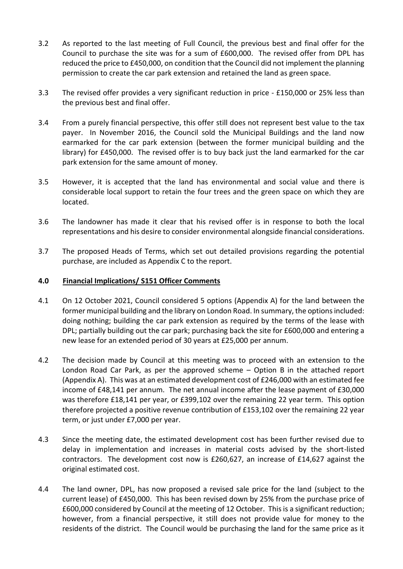- 3.2 As reported to the last meeting of Full Council, the previous best and final offer for the Council to purchase the site was for a sum of £600,000. The revised offer from DPL has reduced the price to £450,000, on condition that the Council did not implement the planning permission to create the car park extension and retained the land as green space.
- 3.3 The revised offer provides a very significant reduction in price £150,000 or 25% less than the previous best and final offer.
- 3.4 From a purely financial perspective, this offer still does not represent best value to the tax payer. In November 2016, the Council sold the Municipal Buildings and the land now earmarked for the car park extension (between the former municipal building and the library) for £450,000. The revised offer is to buy back just the land earmarked for the car park extension for the same amount of money.
- 3.5 However, it is accepted that the land has environmental and social value and there is considerable local support to retain the four trees and the green space on which they are located.
- 3.6 The landowner has made it clear that his revised offer is in response to both the local representations and his desire to consider environmental alongside financial considerations.
- 3.7 The proposed Heads of Terms, which set out detailed provisions regarding the potential purchase, are included as Appendix C to the report.

### **4.0 Financial Implications/ S151 Officer Comments**

- 4.1 On 12 October 2021, Council considered 5 options (Appendix A) for the land between the former municipal building and the library on London Road. In summary, the options included: doing nothing; building the car park extension as required by the terms of the lease with DPL; partially building out the car park; purchasing back the site for £600,000 and entering a new lease for an extended period of 30 years at £25,000 per annum.
- 4.2 The decision made by Council at this meeting was to proceed with an extension to the London Road Car Park, as per the approved scheme – Option B in the attached report (Appendix A). This was at an estimated development cost of £246,000 with an estimated fee income of £48,141 per annum. The net annual income after the lease payment of £30,000 was therefore £18,141 per year, or £399,102 over the remaining 22 year term. This option therefore projected a positive revenue contribution of £153,102 over the remaining 22 year term, or just under £7,000 per year.
- 4.3 Since the meeting date, the estimated development cost has been further revised due to delay in implementation and increases in material costs advised by the short-listed contractors. The development cost now is £260,627, an increase of £14,627 against the original estimated cost.
- 4.4 The land owner, DPL, has now proposed a revised sale price for the land (subject to the current lease) of £450,000. This has been revised down by 25% from the purchase price of £600,000 considered by Council at the meeting of 12 October. This is a significant reduction; however, from a financial perspective, it still does not provide value for money to the residents of the district. The Council would be purchasing the land for the same price as it